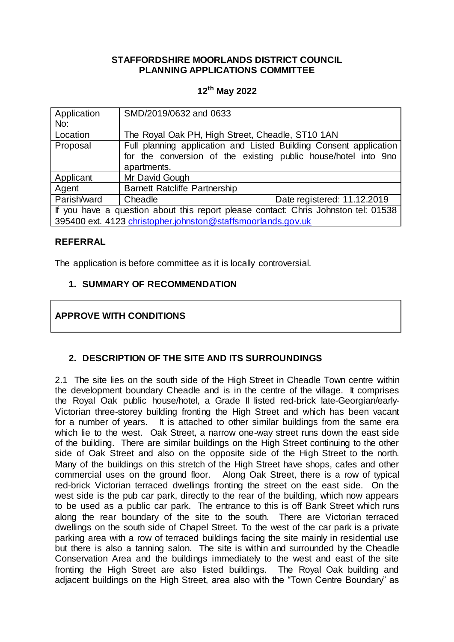### **STAFFORDSHIRE MOORLANDS DISTRICT COUNCIL PLANNING APPLICATIONS COMMITTEE**

## **12th May 2022**

| Application<br>No:                                                                 | SMD/2019/0632 and 0633                                            |                             |
|------------------------------------------------------------------------------------|-------------------------------------------------------------------|-----------------------------|
| Location                                                                           | The Royal Oak PH, High Street, Cheadle, ST10 1AN                  |                             |
| Proposal                                                                           | Full planning application and Listed Building Consent application |                             |
|                                                                                    | for the conversion of the existing public house/hotel into 9no    |                             |
|                                                                                    | apartments.                                                       |                             |
| Applicant                                                                          | Mr David Gough                                                    |                             |
| Agent                                                                              | <b>Barnett Ratcliffe Partnership</b>                              |                             |
| Parish/ward                                                                        | Cheadle                                                           | Date registered: 11.12.2019 |
| If you have a question about this report please contact: Chris Johnston tel: 01538 |                                                                   |                             |
| 395400 ext. 4123 christopher.johnston@staffsmoorlands.gov.uk                       |                                                                   |                             |

### **REFERRAL**

The application is before committee as it is locally controversial.

## **1. SUMMARY OF RECOMMENDATION**

# **APPROVE WITH CONDITIONS**

## **2. DESCRIPTION OF THE SITE AND ITS SURROUNDINGS**

2.1 The site lies on the south side of the High Street in Cheadle Town centre within the development boundary Cheadle and is in the centre of the village. It comprises the Royal Oak public house/hotel, a Grade II listed red-brick late-Georgian/early-Victorian three-storey building fronting the High Street and which has been vacant for a number of years. It is attached to other similar buildings from the same era which lie to the west. Oak Street, a narrow one-way street runs down the east side of the building. There are similar buildings on the High Street continuing to the other side of Oak Street and also on the opposite side of the High Street to the north. Many of the buildings on this stretch of the High Street have shops, cafes and other commercial uses on the ground floor. Along Oak Street, there is a row of typical red-brick Victorian terraced dwellings fronting the street on the east side. On the west side is the pub car park, directly to the rear of the building, which now appears to be used as a public car park. The entrance to this is off Bank Street which runs along the rear boundary of the site to the south. There are Victorian terraced dwellings on the south side of Chapel Street. To the west of the car park is a private parking area with a row of terraced buildings facing the site mainly in residential use but there is also a tanning salon. The site is within and surrounded by the Cheadle Conservation Area and the buildings immediately to the west and east of the site fronting the High Street are also listed buildings. The Royal Oak building and adjacent buildings on the High Street, area also with the "Town Centre Boundary" as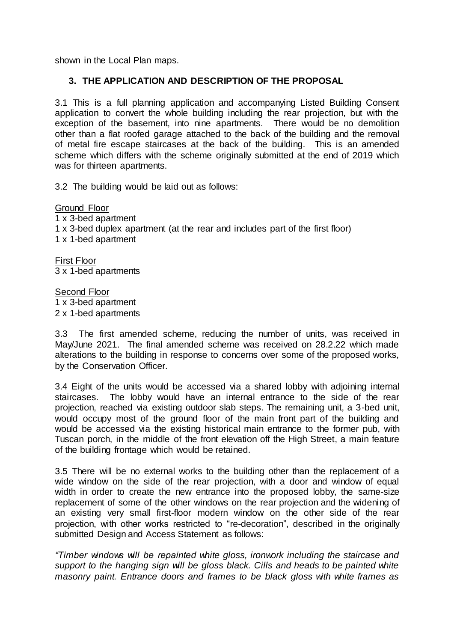shown in the Local Plan maps.

### **3. THE APPLICATION AND DESCRIPTION OF THE PROPOSAL**

3.1 This is a full planning application and accompanying Listed Building Consent application to convert the whole building including the rear projection, but with the exception of the basement, into nine apartments. There would be no demolition other than a flat roofed garage attached to the back of the building and the removal of metal fire escape staircases at the back of the building. This is an amended scheme which differs with the scheme originally submitted at the end of 2019 which was for thirteen apartments.

3.2 The building would be laid out as follows:

Ground Floor 1 x 3-bed apartment 1 x 3-bed duplex apartment (at the rear and includes part of the first floor) 1 x 1-bed apartment

First Floor 3 x 1-bed apartments

Second Floor 1 x 3-bed apartment 2 x 1-bed apartments

3.3 The first amended scheme, reducing the number of units, was received in May/June 2021. The final amended scheme was received on 28.2.22 which made alterations to the building in response to concerns over some of the proposed works, by the Conservation Officer.

3.4 Eight of the units would be accessed via a shared lobby with adjoining internal staircases. The lobby would have an internal entrance to the side of the rear projection, reached via existing outdoor slab steps. The remaining unit, a 3-bed unit, would occupy most of the ground floor of the main front part of the building and would be accessed via the existing historical main entrance to the former pub, with Tuscan porch, in the middle of the front elevation off the High Street, a main feature of the building frontage which would be retained.

3.5 There will be no external works to the building other than the replacement of a wide window on the side of the rear projection, with a door and window of equal width in order to create the new entrance into the proposed lobby, the same-size replacement of some of the other windows on the rear projection and the widening of an existing very small first-floor modern window on the other side of the rear projection, with other works restricted to "re-decoration", described in the originally submitted Design and Access Statement as follows:

*"Timber windows will be repainted white gloss, ironwork including the staircase and support to the hanging sign will be gloss black. Cills and heads to be painted white masonry paint. Entrance doors and frames to be black gloss with white frames as*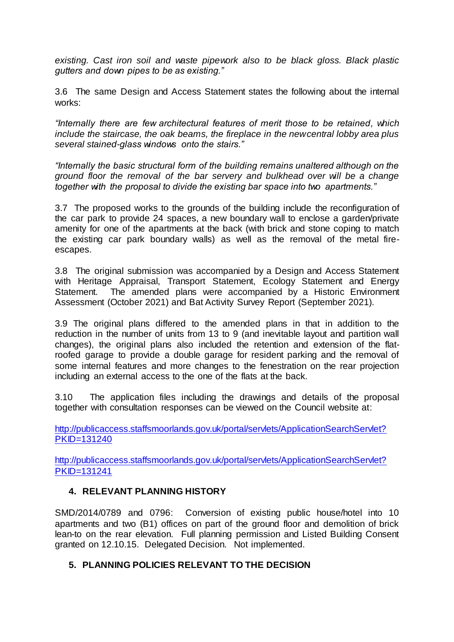*existing. Cast iron soil and waste pipework also to be black gloss. Black plastic gutters and down pipes to be as existing."*

3.6 The same Design and Access Statement states the following about the internal works:

*"Internally there are few architectural features of merit those to be retained, which include the staircase, the oak beams, the fireplace in the new central lobby area plus several stained-glass windows onto the stairs."*

*"Internally the basic structural form of the building remains unaltered although on the ground floor the removal of the bar servery and bulkhead over will be a change together with the proposal to divide the existing bar space into two apartments."*

3.7 The proposed works to the grounds of the building include the reconfiguration of the car park to provide 24 spaces, a new boundary wall to enclose a garden/private amenity for one of the apartments at the back (with brick and stone coping to match the existing car park boundary walls) as well as the removal of the metal fireescapes.

3.8 The original submission was accompanied by a Design and Access Statement with Heritage Appraisal, Transport Statement, Ecology Statement and Energy Statement. The amended plans were accompanied by a Historic Environment Assessment (October 2021) and Bat Activity Survey Report (September 2021).

3.9 The original plans differed to the amended plans in that in addition to the reduction in the number of units from 13 to 9 (and inevitable layout and partition wall changes), the original plans also included the retention and extension of the flatroofed garage to provide a double garage for resident parking and the removal of some internal features and more changes to the fenestration on the rear projection including an external access to the one of the flats at the back.

3.10 The application files including the drawings and details of the proposal together with consultation responses can be viewed on the Council website at:

[http://publicaccess.staffsmoorlands.gov.uk/portal/servlets/ApplicationSearchServlet?](http://publicaccess.staffsmoorlands.gov.uk/portal/servlets/ApplicationSearchServlet?PKID=131240) [PKID=131240](http://publicaccess.staffsmoorlands.gov.uk/portal/servlets/ApplicationSearchServlet?PKID=131240)

[http://publicaccess.staffsmoorlands.gov.uk/portal/servlets/ApplicationSearchServlet?](http://publicaccess.staffsmoorlands.gov.uk/portal/servlets/ApplicationSearchServlet?PKID=131241) [PKID=131241](http://publicaccess.staffsmoorlands.gov.uk/portal/servlets/ApplicationSearchServlet?PKID=131241)

## **4. RELEVANT PLANNING HISTORY**

SMD/2014/0789 and 0796: Conversion of existing public house/hotel into 10 apartments and two (B1) offices on part of the ground floor and demolition of brick lean-to on the rear elevation. Full planning permission and Listed Building Consent granted on 12.10.15. Delegated Decision. Not implemented.

## **5. PLANNING POLICIES RELEVANT TO THE DECISION**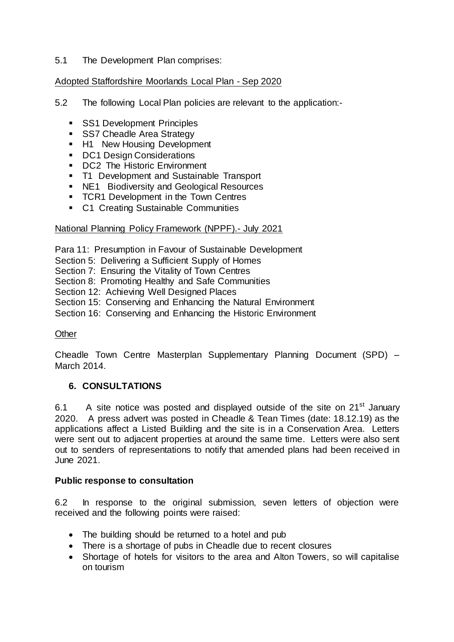### 5.1 The Development Plan comprises:

### Adopted Staffordshire Moorlands Local Plan - Sep 2020

- 5.2 The following Local Plan policies are relevant to the application:-
	- **SS1 Development Principles**
	- SS7 Cheadle Area Strategy
	- **H1** New Housing Development
	- **DC1 Design Considerations**
	- DC2 The Historic Environment
	- **T1 Development and Sustainable Transport**
	- **NE1** Biodiversity and Geological Resources
	- **TCR1 Development in the Town Centres**
	- **C1 Creating Sustainable Communities**

#### National Planning Policy Framework (NPPF).- July 2021

Para 11: Presumption in Favour of Sustainable Development

Section 5: Delivering a Sufficient Supply of Homes

- Section 7: Ensuring the Vitality of Town Centres
- Section 8: Promoting Healthy and Safe Communities

Section 12: Achieving Well Designed Places

Section 15: Conserving and Enhancing the Natural Environment

Section 16: Conserving and Enhancing the Historic Environment

### **Other**

Cheadle Town Centre Masterplan Supplementary Planning Document (SPD) – March 2014.

### **6. CONSULTATIONS**

6.1 A site notice was posted and displayed outside of the site on  $21<sup>st</sup>$  January 2020. A press advert was posted in Cheadle & Tean Times (date: 18.12.19) as the applications affect a Listed Building and the site is in a Conservation Area. Letters were sent out to adjacent properties at around the same time. Letters were also sent out to senders of representations to notify that amended plans had been received in June 2021.

#### **Public response to consultation**

6.2 In response to the original submission, seven letters of objection were received and the following points were raised:

- The building should be returned to a hotel and pub
- There is a shortage of pubs in Cheadle due to recent closures
- Shortage of hotels for visitors to the area and Alton Towers, so will capitalise on tourism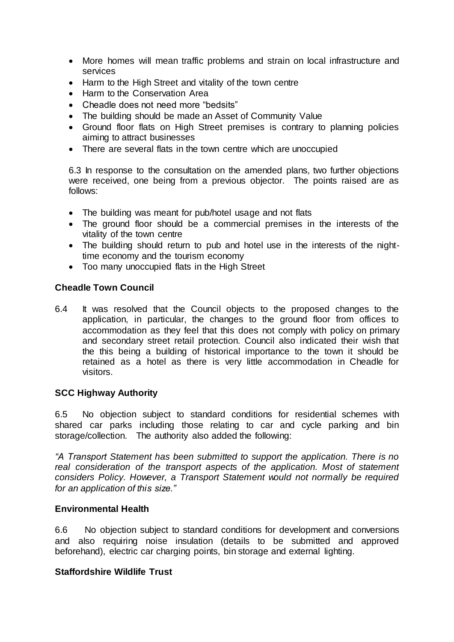- More homes will mean traffic problems and strain on local infrastructure and services
- Harm to the High Street and vitality of the town centre
- Harm to the Conservation Area
- Cheadle does not need more "bedsits"
- The building should be made an Asset of Community Value
- Ground floor flats on High Street premises is contrary to planning policies aiming to attract businesses
- There are several flats in the town centre which are unoccupied

6.3 In response to the consultation on the amended plans, two further objections were received, one being from a previous objector. The points raised are as follows:

- The building was meant for pub/hotel usage and not flats
- The ground floor should be a commercial premises in the interests of the vitality of the town centre
- The building should return to pub and hotel use in the interests of the nighttime economy and the tourism economy
- Too many unoccupied flats in the High Street

#### **Cheadle Town Council**

6.4 It was resolved that the Council objects to the proposed changes to the application, in particular, the changes to the ground floor from offices to accommodation as they feel that this does not comply with policy on primary and secondary street retail protection. Council also indicated their wish that the this being a building of historical importance to the town it should be retained as a hotel as there is very little accommodation in Cheadle for visitors.

#### **SCC Highway Authority**

6.5 No objection subject to standard conditions for residential schemes with shared car parks including those relating to car and cycle parking and bin storage/collection. The authority also added the following:

*"A Transport Statement has been submitted to support the application. There is no*  real consideration of the transport aspects of the application. Most of statement *considers Policy. However, a Transport Statement would not normally be required for an application of this size."*

#### **Environmental Health**

6.6 No objection subject to standard conditions for development and conversions and also requiring noise insulation (details to be submitted and approved beforehand), electric car charging points, bin storage and external lighting.

#### **Staffordshire Wildlife Trust**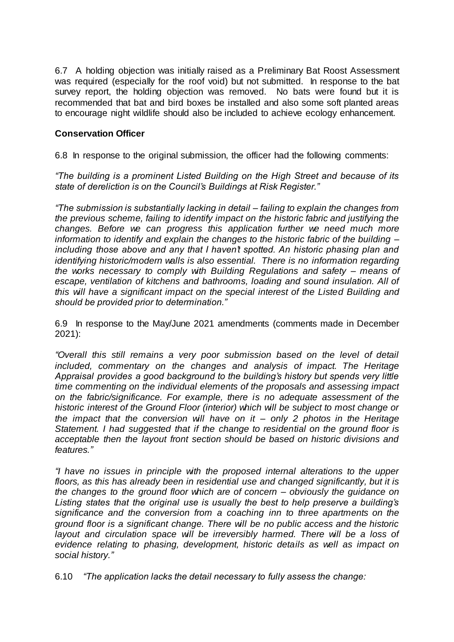6.7 A holding objection was initially raised as a Preliminary Bat Roost Assessment was required (especially for the roof void) but not submitted. In response to the bat survey report, the holding objection was removed. No bats were found but it is recommended that bat and bird boxes be installed and also some soft planted areas to encourage night wildlife should also be included to achieve ecology enhancement.

## **Conservation Officer**

6.8 In response to the original submission, the officer had the following comments:

*"The building is a prominent Listed Building on the High Street and because of its state of dereliction is on the Council's Buildings at Risk Register."*

*"The submission is substantially lacking in detail – failing to explain the changes from the previous scheme, failing to identify impact on the historic fabric and justifying the changes. Before we can progress this application further we need much more information to identify and explain the changes to the historic fabric of the building – including those above and any that I haven't spotted. An historic phasing plan and identifying historic/modern walls is also essential. There is no information regarding the works necessary to comply with Building Regulations and safety – means of escape, ventilation of kitchens and bathrooms, loading and sound insulation. All of this will have a significant impact on the special interest of the Listed Building and should be provided prior to determination."*

6.9 In response to the May/June 2021 amendments (comments made in December 2021):

*"Overall this still remains a very poor submission based on the level of detail included, commentary on the changes and analysis of impact. The Heritage Appraisal provides a good background to the building's history but spends very little time commenting on the individual elements of the proposals and assessing impact on the fabric/significance. For example, there is no adequate assessment of the historic interest of the Ground Floor (interior) which will be subject to most change or the impact that the conversion will have on it – only 2 photos in the Heritage Statement. I had suggested that if the change to residential on the ground floor is acceptable then the layout front section should be based on historic divisions and features."*

*"I have no issues in principle with the proposed internal alterations to the upper floors, as this has already been in residential use and changed significantly, but it is the changes to the ground floor which are of concern – obviously the guidance on Listing states that the original use is usually the best to help preserve a building's significance and the conversion from a coaching inn to three apartments on the ground floor is a significant change. There will be no public access and the historic layout and circulation space will be irreversibly harmed. There will be a loss of evidence relating to phasing, development, historic details as well as impact on social history."*

6.10 *"The application lacks the detail necessary to fully assess the change:*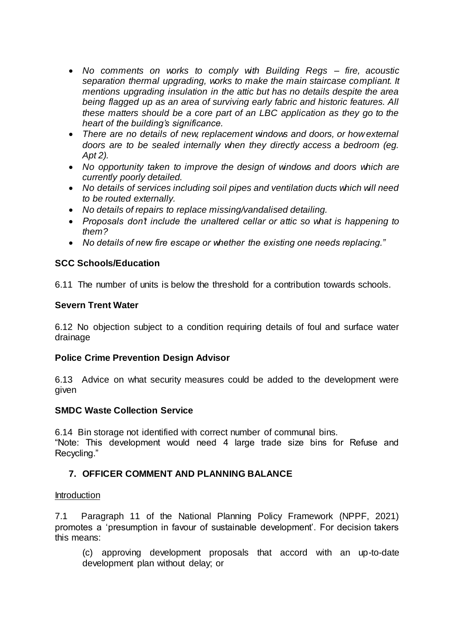- *No comments on works to comply with Building Regs – fire, acoustic separation thermal upgrading, works to make the main staircase compliant. It mentions upgrading insulation in the attic but has no details despite the area being flagged up as an area of surviving early fabric and historic features. All these matters should be a core part of an LBC application as they go to the heart of the building's significance.*
- *There are no details of new, replacement windows and doors, or how external doors are to be sealed internally when they directly access a bedroom (eg. Apt 2).*
- *No opportunity taken to improve the design of windows and doors which are currently poorly detailed.*
- *No details of services including soil pipes and ventilation ducts which will need to be routed externally.*
- *No details of repairs to replace missing/vandalised detailing.*
- *Proposals don't include the unaltered cellar or attic so what is happening to them?*
- *No details of new fire escape or whether the existing one needs replacing."*

### **SCC Schools/Education**

6.11 The number of units is below the threshold for a contribution towards schools.

### **Severn Trent Water**

6.12 No objection subject to a condition requiring details of foul and surface water drainage

### **Police Crime Prevention Design Advisor**

6.13 Advice on what security measures could be added to the development were given

### **SMDC Waste Collection Service**

6.14 Bin storage not identified with correct number of communal bins.

"Note: This development would need 4 large trade size bins for Refuse and Recycling."

### **7. OFFICER COMMENT AND PLANNING BALANCE**

#### Introduction

7.1 Paragraph 11 of the National Planning Policy Framework (NPPF, 2021) promotes a 'presumption in favour of sustainable development'. For decision takers this means:

(c) approving development proposals that accord with an up-to-date development plan without delay; or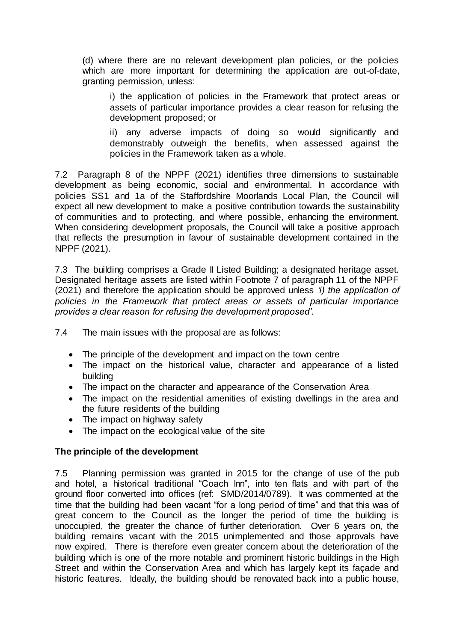(d) where there are no relevant development plan policies, or the policies which are more important for determining the application are out-of-date, granting permission, unless:

i) the application of policies in the Framework that protect areas or assets of particular importance provides a clear reason for refusing the development proposed; or

ii) any adverse impacts of doing so would significantly and demonstrably outweigh the benefits, when assessed against the policies in the Framework taken as a whole.

7.2 Paragraph 8 of the NPPF (2021) identifies three dimensions to sustainable development as being economic, social and environmental. In accordance with policies SS1 and 1a of the Staffordshire Moorlands Local Plan, the Council will expect all new development to make a positive contribution towards the sustainability of communities and to protecting, and where possible, enhancing the environment. When considering development proposals, the Council will take a positive approach that reflects the presumption in favour of sustainable development contained in the NPPF (2021).

7.3 The building comprises a Grade II Listed Building; a designated heritage asset. Designated heritage assets are listed within Footnote 7 of paragraph 11 of the NPPF (2021) and therefore the application should be approved unless *'i) the application of policies in the Framework that protect areas or assets of particular importance provides a clear reason for refusing the development proposed'*.

7.4 The main issues with the proposal are as follows:

- The principle of the development and impact on the town centre
- The impact on the historical value, character and appearance of a listed building
- The impact on the character and appearance of the Conservation Area
- The impact on the residential amenities of existing dwellings in the area and the future residents of the building
- The impact on highway safety
- The impact on the ecological value of the site

### **The principle of the development**

7.5 Planning permission was granted in 2015 for the change of use of the pub and hotel, a historical traditional "Coach Inn", into ten flats and with part of the ground floor converted into offices (ref: SMD/2014/0789). It was commented at the time that the building had been vacant "for a long period of time" and that this was of great concern to the Council as the longer the period of time the building is unoccupied, the greater the chance of further deterioration. Over 6 years on, the building remains vacant with the 2015 unimplemented and those approvals have now expired. There is therefore even greater concern about the deterioration of the building which is one of the more notable and prominent historic buildings in the High Street and within the Conservation Area and which has largely kept its façade and historic features. Ideally, the building should be renovated back into a public house,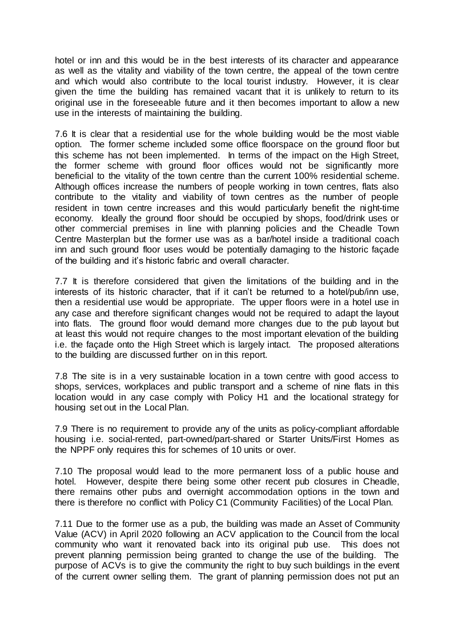hotel or inn and this would be in the best interests of its character and appearance as well as the vitality and viability of the town centre, the appeal of the town centre and which would also contribute to the local tourist industry. However, it is clear given the time the building has remained vacant that it is unlikely to return to its original use in the foreseeable future and it then becomes important to allow a new use in the interests of maintaining the building.

7.6 It is clear that a residential use for the whole building would be the most viable option. The former scheme included some office floorspace on the ground floor but this scheme has not been implemented. In terms of the impact on the High Street, the former scheme with ground floor offices would not be significantly more beneficial to the vitality of the town centre than the current 100% residential scheme. Although offices increase the numbers of people working in town centres, flats also contribute to the vitality and viability of town centres as the number of people resident in town centre increases and this would particularly benefit the night-time economy. Ideally the ground floor should be occupied by shops, food/drink uses or other commercial premises in line with planning policies and the Cheadle Town Centre Masterplan but the former use was as a bar/hotel inside a traditional coach inn and such ground floor uses would be potentially damaging to the historic façade of the building and it's historic fabric and overall character.

7.7 It is therefore considered that given the limitations of the building and in the interests of its historic character, that if it can't be returned to a hotel/pub/inn use, then a residential use would be appropriate. The upper floors were in a hotel use in any case and therefore significant changes would not be required to adapt the layout into flats. The ground floor would demand more changes due to the pub layout but at least this would not require changes to the most important elevation of the building i.e. the façade onto the High Street which is largely intact. The proposed alterations to the building are discussed further on in this report.

7.8 The site is in a very sustainable location in a town centre with good access to shops, services, workplaces and public transport and a scheme of nine flats in this location would in any case comply with Policy H1 and the locational strategy for housing set out in the Local Plan.

7.9 There is no requirement to provide any of the units as policy-compliant affordable housing i.e. social-rented, part-owned/part-shared or Starter Units/First Homes as the NPPF only requires this for schemes of 10 units or over.

7.10 The proposal would lead to the more permanent loss of a public house and hotel. However, despite there being some other recent pub closures in Cheadle, there remains other pubs and overnight accommodation options in the town and there is therefore no conflict with Policy C1 (Community Facilities) of the Local Plan.

7.11 Due to the former use as a pub, the building was made an Asset of Community Value (ACV) in April 2020 following an ACV application to the Council from the local community who want it renovated back into its original pub use. This does not prevent planning permission being granted to change the use of the building. The purpose of ACVs is to give the community the right to buy such buildings in the event of the current owner selling them. The grant of planning permission does not put an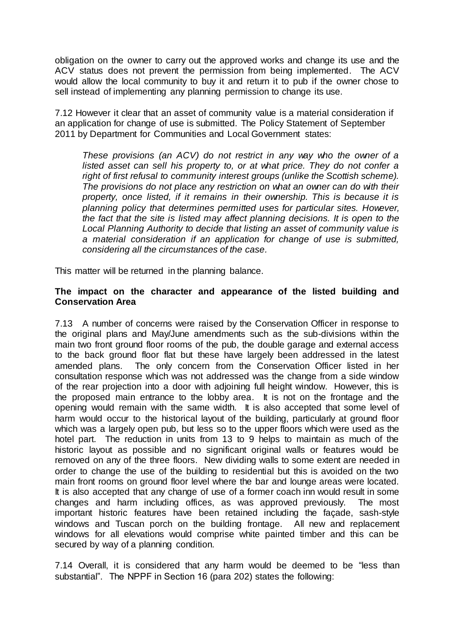obligation on the owner to carry out the approved works and change its use and the ACV status does not prevent the permission from being implemented. The ACV would allow the local community to buy it and return it to pub if the owner chose to sell instead of implementing any planning permission to change its use.

7.12 However it clear that an asset of community value is a material consideration if an application for change of use is submitted. The Policy Statement of September 2011 by Department for Communities and Local Government states:

*These provisions (an ACV) do not restrict in any way who the owner of a listed asset can sell his property to, or at what price. They do not confer a right of first refusal to community interest groups (unlike the Scottish scheme). The provisions do not place any restriction on what an owner can do with their property, once listed, if it remains in their ownership. This is because it is planning policy that determines permitted uses for particular sites. However, the fact that the site is listed may affect planning decisions. It is open to the Local Planning Authority to decide that listing an asset of community value is a material consideration if an application for change of use is submitted, considering all the circumstances of the case.*

This matter will be returned in the planning balance.

### **The impact on the character and appearance of the listed building and Conservation Area**

7.13 A number of concerns were raised by the Conservation Officer in response to the original plans and May/June amendments such as the sub-divisions within the main two front ground floor rooms of the pub, the double garage and external access to the back ground floor flat but these have largely been addressed in the latest amended plans. The only concern from the Conservation Officer listed in her consultation response which was not addressed was the change from a side window of the rear projection into a door with adjoining full height window. However, this is the proposed main entrance to the lobby area. It is not on the frontage and the opening would remain with the same width. It is also accepted that some level of harm would occur to the historical layout of the building, particularly at ground floor which was a largely open pub, but less so to the upper floors which were used as the hotel part. The reduction in units from 13 to 9 helps to maintain as much of the historic layout as possible and no significant original walls or features would be removed on any of the three floors. New dividing walls to some extent are needed in order to change the use of the building to residential but this is avoided on the two main front rooms on ground floor level where the bar and lounge areas were located. It is also accepted that any change of use of a former coach inn would result in some changes and harm including offices, as was approved previously. The most important historic features have been retained including the façade, sash-style windows and Tuscan porch on the building frontage. All new and replacement windows for all elevations would comprise white painted timber and this can be secured by way of a planning condition.

7.14 Overall, it is considered that any harm would be deemed to be "less than substantial". The NPPF in Section 16 (para 202) states the following: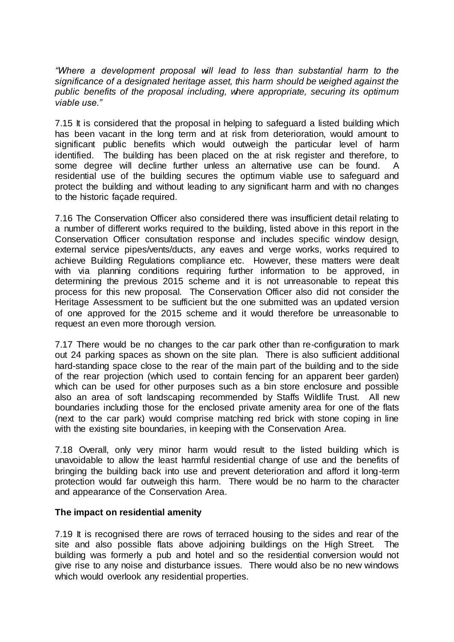*"Where a development proposal will lead to less than substantial harm to the significance of a designated heritage asset, this harm should be weighed against the public benefits of the proposal including, where appropriate, securing its optimum viable use."*

7.15 It is considered that the proposal in helping to safeguard a listed building which has been vacant in the long term and at risk from deterioration, would amount to significant public benefits which would outweigh the particular level of harm identified. The building has been placed on the at risk register and therefore, to some degree will decline further unless an alternative use can be found. A residential use of the building secures the optimum viable use to safeguard and protect the building and without leading to any significant harm and with no changes to the historic façade required.

7.16 The Conservation Officer also considered there was insufficient detail relating to a number of different works required to the building, listed above in this report in the Conservation Officer consultation response and includes specific window design, external service pipes/vents/ducts, any eaves and verge works, works required to achieve Building Regulations compliance etc. However, these matters were dealt with via planning conditions requiring further information to be approved, in determining the previous 2015 scheme and it is not unreasonable to repeat this process for this new proposal. The Conservation Officer also did not consider the Heritage Assessment to be sufficient but the one submitted was an updated version of one approved for the 2015 scheme and it would therefore be unreasonable to request an even more thorough version.

7.17 There would be no changes to the car park other than re-configuration to mark out 24 parking spaces as shown on the site plan. There is also sufficient additional hard-standing space close to the rear of the main part of the building and to the side of the rear projection (which used to contain fencing for an apparent beer garden) which can be used for other purposes such as a bin store enclosure and possible also an area of soft landscaping recommended by Staffs Wildlife Trust. All new boundaries including those for the enclosed private amenity area for one of the flats (next to the car park) would comprise matching red brick with stone coping in line with the existing site boundaries, in keeping with the Conservation Area.

7.18 Overall, only very minor harm would result to the listed building which is unavoidable to allow the least harmful residential change of use and the benefits of bringing the building back into use and prevent deterioration and afford it long-term protection would far outweigh this harm. There would be no harm to the character and appearance of the Conservation Area.

#### **The impact on residential amenity**

7.19 It is recognised there are rows of terraced housing to the sides and rear of the site and also possible flats above adjoining buildings on the High Street. The building was formerly a pub and hotel and so the residential conversion would not give rise to any noise and disturbance issues. There would also be no new windows which would overlook any residential properties.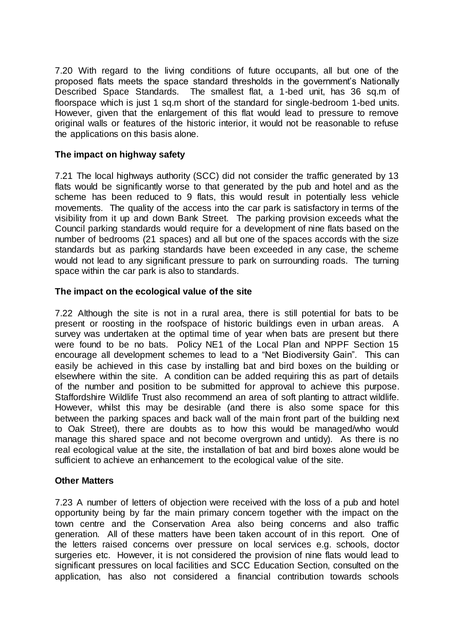7.20 With regard to the living conditions of future occupants, all but one of the proposed flats meets the space standard thresholds in the government's Nationally Described Space Standards. The smallest flat, a 1-bed unit, has 36 sq.m of floorspace which is just 1 sq.m short of the standard for single-bedroom 1-bed units. However, given that the enlargement of this flat would lead to pressure to remove original walls or features of the historic interior, it would not be reasonable to refuse the applications on this basis alone.

## **The impact on highway safety**

7.21 The local highways authority (SCC) did not consider the traffic generated by 13 flats would be significantly worse to that generated by the pub and hotel and as the scheme has been reduced to 9 flats, this would result in potentially less vehicle movements. The quality of the access into the car park is satisfactory in terms of the visibility from it up and down Bank Street. The parking provision exceeds what the Council parking standards would require for a development of nine flats based on the number of bedrooms (21 spaces) and all but one of the spaces accords with the size standards but as parking standards have been exceeded in any case, the scheme would not lead to any significant pressure to park on surrounding roads. The turning space within the car park is also to standards.

### **The impact on the ecological value of the site**

7.22 Although the site is not in a rural area, there is still potential for bats to be present or roosting in the roofspace of historic buildings even in urban areas. A survey was undertaken at the optimal time of year when bats are present but there were found to be no bats. Policy NE1 of the Local Plan and NPPF Section 15 encourage all development schemes to lead to a "Net Biodiversity Gain". This can easily be achieved in this case by installing bat and bird boxes on the building or elsewhere within the site. A condition can be added requiring this as part of details of the number and position to be submitted for approval to achieve this purpose. Staffordshire Wildlife Trust also recommend an area of soft planting to attract wildlife. However, whilst this may be desirable (and there is also some space for this between the parking spaces and back wall of the main front part of the building next to Oak Street), there are doubts as to how this would be managed/who would manage this shared space and not become overgrown and untidy). As there is no real ecological value at the site, the installation of bat and bird boxes alone would be sufficient to achieve an enhancement to the ecological value of the site.

### **Other Matters**

7.23 A number of letters of objection were received with the loss of a pub and hotel opportunity being by far the main primary concern together with the impact on the town centre and the Conservation Area also being concerns and also traffic generation. All of these matters have been taken account of in this report. One of the letters raised concerns over pressure on local services e.g. schools, doctor surgeries etc. However, it is not considered the provision of nine flats would lead to significant pressures on local facilities and SCC Education Section, consulted on the application, has also not considered a financial contribution towards schools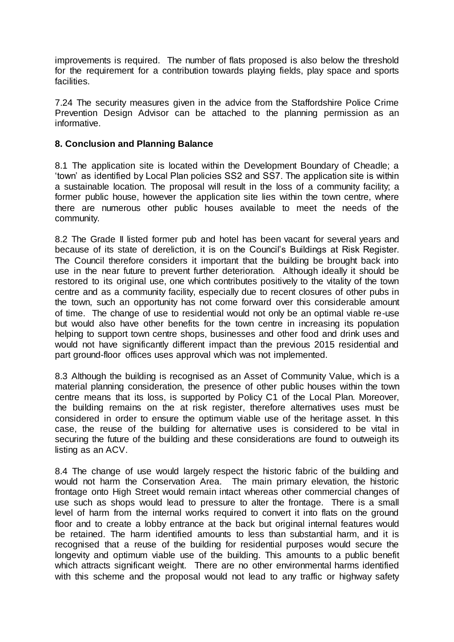improvements is required. The number of flats proposed is also below the threshold for the requirement for a contribution towards playing fields, play space and sports facilities.

7.24 The security measures given in the advice from the Staffordshire Police Crime Prevention Design Advisor can be attached to the planning permission as an informative.

### **8. Conclusion and Planning Balance**

8.1 The application site is located within the Development Boundary of Cheadle; a 'town' as identified by Local Plan policies SS2 and SS7. The application site is within a sustainable location. The proposal will result in the loss of a community facility; a former public house, however the application site lies within the town centre, where there are numerous other public houses available to meet the needs of the community.

8.2 The Grade II listed former pub and hotel has been vacant for several years and because of its state of dereliction, it is on the Council's Buildings at Risk Register. The Council therefore considers it important that the building be brought back into use in the near future to prevent further deterioration. Although ideally it should be restored to its original use, one which contributes positively to the vitality of the town centre and as a community facility, especially due to recent closures of other pubs in the town, such an opportunity has not come forward over this considerable amount of time. The change of use to residential would not only be an optimal viable re-use but would also have other benefits for the town centre in increasing its population helping to support town centre shops, businesses and other food and drink uses and would not have significantly different impact than the previous 2015 residential and part ground-floor offices uses approval which was not implemented.

8.3 Although the building is recognised as an Asset of Community Value, which is a material planning consideration, the presence of other public houses within the town centre means that its loss, is supported by Policy C1 of the Local Plan. Moreover, the building remains on the at risk register, therefore alternatives uses must be considered in order to ensure the optimum viable use of the heritage asset. In this case, the reuse of the building for alternative uses is considered to be vital in securing the future of the building and these considerations are found to outweigh its listing as an ACV.

8.4 The change of use would largely respect the historic fabric of the building and would not harm the Conservation Area. The main primary elevation, the historic frontage onto High Street would remain intact whereas other commercial changes of use such as shops would lead to pressure to alter the frontage. There is a small level of harm from the internal works required to convert it into flats on the ground floor and to create a lobby entrance at the back but original internal features would be retained. The harm identified amounts to less than substantial harm, and it is recognised that a reuse of the building for residential purposes would secure the longevity and optimum viable use of the building. This amounts to a public benefit which attracts significant weight. There are no other environmental harms identified with this scheme and the proposal would not lead to any traffic or highway safety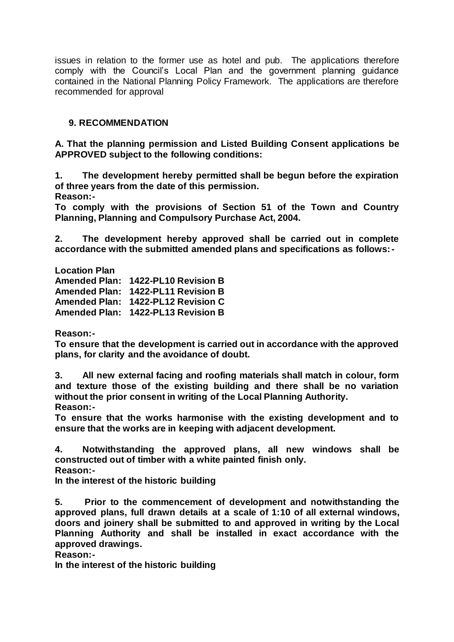issues in relation to the former use as hotel and pub. The applications therefore comply with the Council's Local Plan and the government planning guidance contained in the National Planning Policy Framework. The applications are therefore recommended for approval

# **9. RECOMMENDATION**

**A. That the planning permission and Listed Building Consent applications be APPROVED subject to the following conditions:**

**1. The development hereby permitted shall be begun before the expiration of three years from the date of this permission.**

**Reason:-**

**To comply with the provisions of Section 51 of the Town and Country Planning, Planning and Compulsory Purchase Act, 2004.**

**2. The development hereby approved shall be carried out in complete accordance with the submitted amended plans and specifications as follows:-**

**Location Plan**

**Amended Plan: 1422-PL10 Revision B Amended Plan: 1422-PL11 Revision B Amended Plan: 1422-PL12 Revision C Amended Plan: 1422-PL13 Revision B** 

**Reason:-**

**To ensure that the development is carried out in accordance with the approved plans, for clarity and the avoidance of doubt.**

**3. All new external facing and roofing materials shall match in colour, form and texture those of the existing building and there shall be no variation without the prior consent in writing of the Local Planning Authority. Reason:-**

**To ensure that the works harmonise with the existing development and to ensure that the works are in keeping with adjacent development.**

**4. Notwithstanding the approved plans, all new windows shall be constructed out of timber with a white painted finish only.**

**Reason:-**

**In the interest of the historic building**

**5. Prior to the commencement of development and notwithstanding the approved plans, full drawn details at a scale of 1:10 of all external windows, doors and joinery shall be submitted to and approved in writing by the Local Planning Authority and shall be installed in exact accordance with the approved drawings.**

**Reason:-**

**In the interest of the historic building**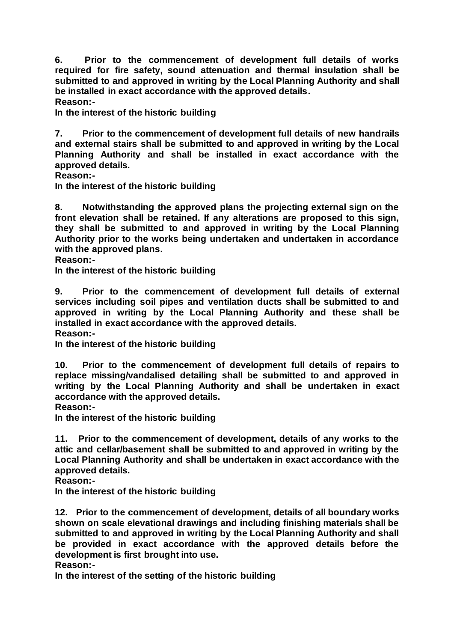**6. Prior to the commencement of development full details of works required for fire safety, sound attenuation and thermal insulation shall be submitted to and approved in writing by the Local Planning Authority and shall be installed in exact accordance with the approved details. Reason:-**

**In the interest of the historic building**

**7. Prior to the commencement of development full details of new handrails and external stairs shall be submitted to and approved in writing by the Local Planning Authority and shall be installed in exact accordance with the approved details.**

**Reason:-**

**In the interest of the historic building**

**8. Notwithstanding the approved plans the projecting external sign on the front elevation shall be retained. If any alterations are proposed to this sign, they shall be submitted to and approved in writing by the Local Planning Authority prior to the works being undertaken and undertaken in accordance with the approved plans.**

**Reason:-**

**In the interest of the historic building**

**9. Prior to the commencement of development full details of external services including soil pipes and ventilation ducts shall be submitted to and approved in writing by the Local Planning Authority and these shall be installed in exact accordance with the approved details. Reason:-**

**In the interest of the historic building**

**10. Prior to the commencement of development full details of repairs to replace missing/vandalised detailing shall be submitted to and approved in writing by the Local Planning Authority and shall be undertaken in exact accordance with the approved details.**

**Reason:-**

**In the interest of the historic building**

**11. Prior to the commencement of development, details of any works to the attic and cellar/basement shall be submitted to and approved in writing by the Local Planning Authority and shall be undertaken in exact accordance with the approved details.**

**Reason:-**

**In the interest of the historic building**

**12. Prior to the commencement of development, details of all boundary works shown on scale elevational drawings and including finishing materials shall be submitted to and approved in writing by the Local Planning Authority and shall be provided in exact accordance with the approved details before the development is first brought into use.**

**Reason:-**

**In the interest of the setting of the historic building**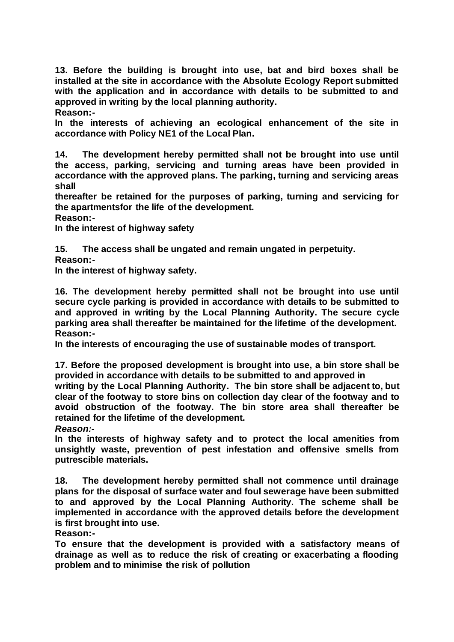**13. Before the building is brought into use, bat and bird boxes shall be installed at the site in accordance with the Absolute Ecology Report submitted with the application and in accordance with details to be submitted to and approved in writing by the local planning authority.**

**Reason:-**

**In the interests of achieving an ecological enhancement of the site in accordance with Policy NE1 of the Local Plan.** 

**14. The development hereby permitted shall not be brought into use until the access, parking, servicing and turning areas have been provided in accordance with the approved plans. The parking, turning and servicing areas shall**

**thereafter be retained for the purposes of parking, turning and servicing for the apartmentsfor the life of the development.**

**Reason:-**

**In the interest of highway safety**

**15. The access shall be ungated and remain ungated in perpetuity.**

**Reason:-**

**In the interest of highway safety.**

**16. The development hereby permitted shall not be brought into use until secure cycle parking is provided in accordance with details to be submitted to and approved in writing by the Local Planning Authority. The secure cycle parking area shall thereafter be maintained for the lifetime of the development. Reason:-**

**In the interests of encouraging the use of sustainable modes of transport.**

**17. Before the proposed development is brought into use, a bin store shall be provided in accordance with details to be submitted to and approved in**

**writing by the Local Planning Authority. The bin store shall be adjacent to, but clear of the footway to store bins on collection day clear of the footway and to avoid obstruction of the footway. The bin store area shall thereafter be retained for the lifetime of the development.**

*Reason:-*

**In the interests of highway safety and to protect the local amenities from unsightly waste, prevention of pest infestation and offensive smells from putrescible materials.**

**18. The development hereby permitted shall not commence until drainage plans for the disposal of surface water and foul sewerage have been submitted to and approved by the Local Planning Authority. The scheme shall be implemented in accordance with the approved details before the development is first brought into use.** 

**Reason:-**

**To ensure that the development is provided with a satisfactory means of drainage as well as to reduce the risk of creating or exacerbating a flooding problem and to minimise the risk of pollution**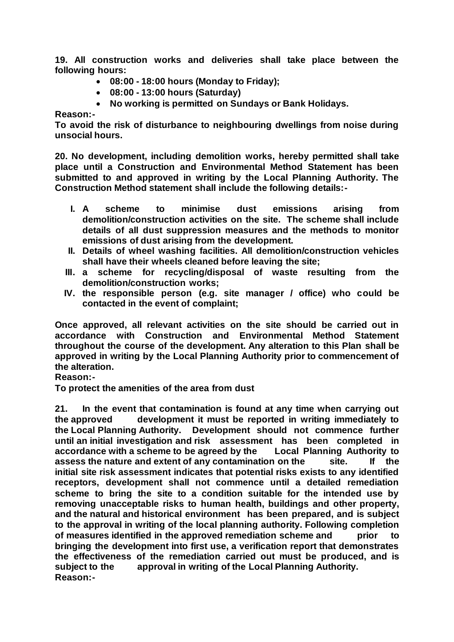**19. All construction works and deliveries shall take place between the following hours:** 

- **08:00 - 18:00 hours (Monday to Friday);**
- **08:00 - 13:00 hours (Saturday)**
- **No working is permitted on Sundays or Bank Holidays.**

**Reason:-**

**To avoid the risk of disturbance to neighbouring dwellings from noise during unsocial hours.**

**20. No development, including demolition works, hereby permitted shall take place until a Construction and Environmental Method Statement has been submitted to and approved in writing by the Local Planning Authority. The Construction Method statement shall include the following details:-**

- **I. A scheme to minimise dust emissions arising from demolition/construction activities on the site. The scheme shall include details of all dust suppression measures and the methods to monitor emissions of dust arising from the development.**
- **II. Details of wheel washing facilities. All demolition/construction vehicles shall have their wheels cleaned before leaving the site;**
- **III. a scheme for recycling/disposal of waste resulting from the demolition/construction works;**
- **IV. the responsible person (e.g. site manager / office) who could be contacted in the event of complaint;**

**Once approved, all relevant activities on the site should be carried out in accordance with Construction and Environmental Method Statement throughout the course of the development. Any alteration to this Plan shall be approved in writing by the Local Planning Authority prior to commencement of the alteration.** 

**Reason:-**

**To protect the amenities of the area from dust**

**21. In the event that contamination is found at any time when carrying out the approved development it must be reported in writing immediately to the Local Planning Authority. Development should not commence further until an initial investigation and risk assessment has been completed in accordance with a scheme to be agreed by the Local Planning Authority to assess the nature and extent of any contamination on the site. If the initial site risk assessment indicates that potential risks exists to any identified receptors, development shall not commence until a detailed remediation scheme to bring the site to a condition suitable for the intended use by removing unacceptable risks to human health, buildings and other property, and the natural and historical environment has been prepared, and is subject to the approval in writing of the local planning authority. Following completion of measures identified in the approved remediation scheme and prior to bringing the development into first use, a verification report that demonstrates the effectiveness of the remediation carried out must be produced, and is subject to the approval in writing of the Local Planning Authority. Reason:-**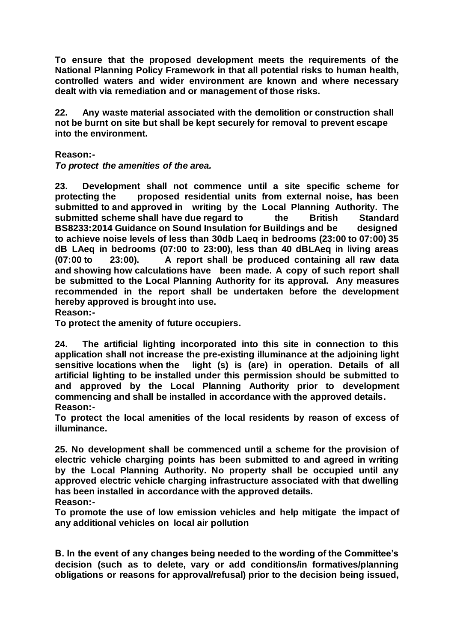**To ensure that the proposed development meets the requirements of the National Planning Policy Framework in that all potential risks to human health, controlled waters and wider environment are known and where necessary dealt with via remediation and or management of those risks.**

**22. Any waste material associated with the demolition or construction shall not be burnt on site but shall be kept securely for removal to prevent escape into the environment.**

**Reason:-**

*To protect the amenities of the area.*

**23. Development shall not commence until a site specific scheme for protecting the proposed residential units from external noise, has been submitted to and approved in writing by the Local Planning Authority. The submitted scheme shall have due regard to the British Standard BS8233:2014 Guidance on Sound Insulation for Buildings and be designed to achieve noise levels of less than 30db Laeq in bedrooms (23:00 to 07:00) 35 dB LAeq in bedrooms (07:00 to 23:00), less than 40 dBLAeq in living areas (07:00 to 23:00). A report shall be produced containing all raw data and showing how calculations have been made. A copy of such report shall be submitted to the Local Planning Authority for its approval. Any measures recommended in the report shall be undertaken before the development hereby approved is brought into use.**

**Reason:-**

**To protect the amenity of future occupiers.**

**24. The artificial lighting incorporated into this site in connection to this application shall not increase the pre-existing illuminance at the adjoining light sensitive locations when the light (s) is (are) in operation. Details of all artificial lighting to be installed under this permission should be submitted to and approved by the Local Planning Authority prior to development commencing and shall be installed in accordance with the approved details. Reason:-**

**To protect the local amenities of the local residents by reason of excess of illuminance.**

**25. No development shall be commenced until a scheme for the provision of electric vehicle charging points has been submitted to and agreed in writing by the Local Planning Authority. No property shall be occupied until any approved electric vehicle charging infrastructure associated with that dwelling has been installed in accordance with the approved details. Reason:-**

**To promote the use of low emission vehicles and help mitigate the impact of any additional vehicles on local air pollution**

**B. In the event of any changes being needed to the wording of the Committee's decision (such as to delete, vary or add conditions/in formatives/planning obligations or reasons for approval/refusal) prior to the decision being issued,**